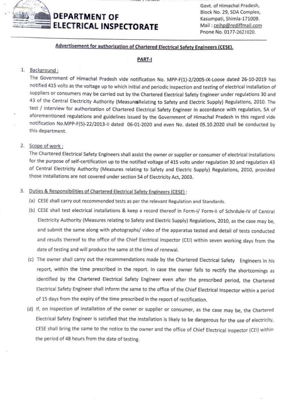

# DEPARTMENT OF ELECTRICAL INSPECTORATE

Govt. of Himachal Pradesh, Block No. 29, SDA Complex, Kasumpati, Shimla-171009. Mail : ceihp@rediffmail.com Pnone No. 0177-2621020.

# Advertisement for authorization of Chartered Electrical Safety Engineers (CESE.

### PART-

### 1. Background:

The Government of Himachal Pradesh vide notification No. MPP-F(1)-2/2005-1X-Loose dated 26-10-2019 has notified 415 volts as the votage up to which initial and periodic inspection and testing of electrical installation of Suppliers or consumers may be carried out by the Chartered Electrical Safety Engineer under regulations 30 and 43 of the Central Electricity Authority (Measures Relating to Safety and Electric Supply) Regulations, 2010. The test / interview for authorization of Chartered Electrical Safety Engineer in accordance with regulation, 5A of aforementioned regulations and guidelines issued by the Government of Himachal Pradesh in this regard vide notification No.MPP-F(5)-22/2013-1I dated 06-01-2020 and even No. dated 05.10.2020 shall be conducted by this department.

### 2. Scope of work:

The Chartered Electrical Safety Engineers shall assist the owner or supplier or consumer of electrical installations for the purpose of self-certification up to the notified voltage of 415 volts under regulation 30 and regulation 43 of Central Electricity Authority (Measures relating to Safety and Electric Supply) Regulations, 2010, provided those installations are not covered under section 54 of Electricity Act, 2003.

# 3. Duties & Responsibilities of Chartered Electrical Safety Engineers (CESE):

- (a) CESE shall carry out recommended tests as per the relevant Regulation and Standards.
- (6) CESE shall test electrical installations& keep a record thereof in Form-1/ Form-ll of Schrdule-IV of Central Electricity Authority (Measures relating to Safety and Electric Supply) Regulations, 2010, as the case may be, and submit the same along with photographs/ video of the apparatus tested and detail of tests conducted and results thereof to the office of the Chief Electrical Inspector (CEI) within seven working days from the date of testing and will produce the same at the time of renewal.
- (c) The owner shall carry out the recommendations made by the Chartered Electrical Safety Engineers in his report, within the time prescribed in the report. In case the owner fails to rectify the shortcomings as identified by the Chartered Electrical Safety Engineer even after the prescribed period, the Chartered Electrical Safety Engineer shall inform the same to the office of the Chief Electrical Inspector within a period of 15 days from the expiry of the time prescribed in the report of rectification.
- (d) If, on inspection of installation of the owner or supplier or consumer, as the case may be, the Chartered Electrical Safety Engineer is satisfied that the installation is likely to be dangerous for the use of electricity, CESE shall bring the same to the notice to the owner and the office of Chief Electrical Inspector (CE) within the period of 48 hours from the date of testing.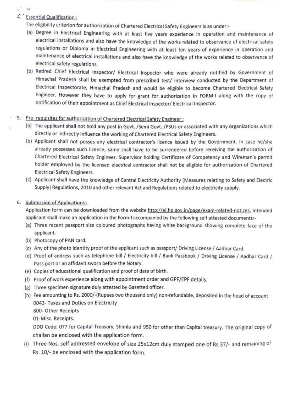# 4. Essential Qualification

 $x^2 - 34$ 

札

- The eligibility criterion for authorization of Chartered Electrical Safety Engineers is as under:
- (@) Degree in Electrical Engineering with at least five years experience in operation and maintenance of electrical installations and also have the knowledge of the works related to observance of electrical safety regulations or Diploma in Electrical Engineering with at least ten years of experience in operation and maintenance of electrical installations and also have the knowledge of the works related to observance of electrical safety regulations.
- (6) Retired Chief Electrical Inspector/ Electrical Inspector who were already notified by Government of Himachal Pradesh shall be exempted from prescribed test/ interview conducted by the Department of Electrical Inspectorate, Himachal Pradesh and would be eligible to become Chartered Electrical Safety Engineer. However they have to apply for grant for authorization in FORM-I along with the copy of notification of their appointment as Chief Electrical Inspector/ Electrical Inspector.

# 5. Pre-requisites for authorization of Chartered Electrical Safety Engineer:

- (a) The applicant shall not hold any post in Govt. /Semi Govt. /PsUs or associated with any organizations which directly or indirectly influence the working of Chartered Electrical Safety Engineers.
- (6) Applicant shall not posses any electrical contractor's licence issued by the Government. In case he/she already possesses such licence, same shall have to be surrendered before receiving the authorization of Chartered Electrical Safety Engineer. Supervisor holding Certificate of Competency and Wireman's permit holder employed by the licensed electrical contractor shall not be eligible for authorization of Chartered Electrical Safety Engineers.
- (c) Applicant shall have the knowledge of Central Electricity Authority (Measures relating to Safety and Electric Supply) Regulations, 2010 and other relevant Act and Regulations related to electricity supply.

#### 6. Submission of Applications:

Application form can be downloaded from the website http://ei.hp.gov.in/page/exam-related-notices, Intended applicant shall make an application in the Form-I accompanied by the following self attested documents:

- (a) Three recent passport size coloured photographs having white background showing complete face of the applicant.
- (b) Photocopy of PAN card.
- (c) Any of the photo identity proof of the applicant such as passport/ Driving License / Aadhar Card.
- (d) Proof of address such as telephone bill / Electricity bill / Bank Passbook / Driving License / Aadhar Card / Pass port or an affidavit sworn before the Notary.
- (e) Copies of educational qualification and proof of date of birth.
- (6) Proof of work experience along with appointment order and GPF/EPF details.
- (e) Three specimen signature duly attested by Gazetted officer.
- (h) Fee amounting to Rs. 2000/-(Rupees two thousand only) non-refundable, deposited in the head of account 0043-Taxes and Duties on Electricity

800-Other Receipts

01-Misc. Receipts

DDO Code: 077 for Capital Treasury, Shimla and 950 for other than Capital treasury. The original copy of challan be enclosed with the application form.

(i) Three Nos. self addressed envelope of size 25x12cm duly stamped one of Rs 37/- and remaining of Rs. 10/- be enclosed with the application form.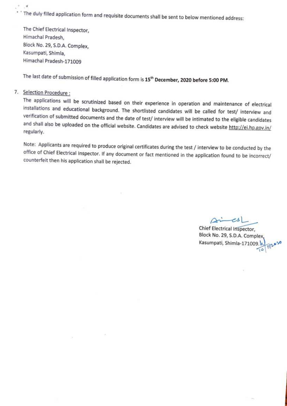The duly filled application form and requisite documents shall be sent to below mentioned address:

The Chief Electrical Inspector, Himachal Pradesh, Block No. 29, S.D.A. Complex, Kasumpati, Shimla, Himachal Pradesh-171009

The last date of submission of filled application form is 15<sup>th</sup> December, 2020 before 5:00 PM.

### 7. Selection Procedure:

¥

The applications will be scrutinized based on their experience in operation and maintenance of electrical installations and educational background. The shortlisted candidates will be called for test/ interview and verifica

Note: Applicants are required to produce original certificates during the test / interview to be conducted by the office of Chief Electrical Inspector. If any document or fact mentioned in the application found to be incorrect/ counterfeit then his application shall be rejected.

Chief Electrical Inspector, Block No. 29, S.D.A. Complex Kasumpati, Shimla-171009.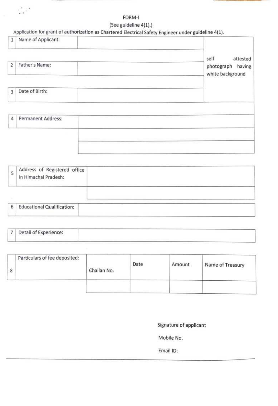# FORM-I

# (See guideline 4(1).)

# Application for grant of authorization as Chartered Electrical Safety Engineer under guideline 4(1).

 $\epsilon_{\rm eff}^{\rm eff}$  (  $^2$ 

| Name of Applicant:<br>$\mathbf{1}$ |                                                           |
|------------------------------------|-----------------------------------------------------------|
| Father's Name:<br>2                | self<br>attested<br>photograph having<br>white background |
| Date of Birth:<br>3                |                                                           |
| Permanent Address:<br>4            |                                                           |
|                                    |                                                           |

| 5 | Address of Registered office<br>in Himachal Pradesh: |  |
|---|------------------------------------------------------|--|
|   |                                                      |  |
| 6 | <b>Educational Qualification:</b>                    |  |

|--|

| Particulars of fee deposited: | Challan No. | Date<br><b>CAMP CAMPAIGN</b> | Amount | Name of Treasury |
|-------------------------------|-------------|------------------------------|--------|------------------|
|                               |             |                              |        |                  |

Signature of applicant

Mobile No.

Email ID: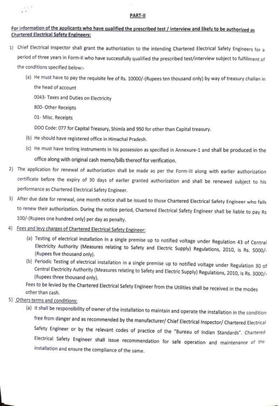#### PART-I

### For information of the applicants who have qualified the prescribed test/ interview and likely to be authorized as Chartered Electrical Safety Engineers:

- 1) Chief Electrical Inspector shall grant the authorization to the intending Chartered Electrical Safety Engineers for a period of three years in Form-II who have successfully qualified the prescribed test/interview subject to fulfillment of the conditions specified below:
	- (a) He must have to pay the requisite fee of Rs. 10000/-(Rupees ten thousand only) by way of treasury challan in the head of account

0043-Taxes and Duties on Electricity

800-Other Receipts

 $\mathcal{L}^{\text{max}}$ 

01- Misc. Receipts

DDO Code: 077 for Capital Treasury, Shimla and 950 for other than Capital treasury.

- (b) He should have registered office in Himachal Pradesh.
- (C) He must have testing instruments in his possession as specified in Annexure-1 and shall be produced in the office along with original cash memo/bills thereof for verification.
- 2) The application for renewal of authorization shall be made as per the Form-1ll along with earlier authorization certificate before the expiry of 30 days of earlier granted authorization and shall be renewed subject to his performance as Chartered Electrical Safety Engineer.
- 3) After due date for renewal, one month notice shall be issued to those Chartered Electrical Safety Engineer who fails to renew their authorization. During the notice period, Chartered Electrical Safety Engineer shall be liable to pay Rs 100/-(Rupees one hundred only) per day as penalty.

# 4) Fees and levy charges of Chartered Electrical Safety Engineer:

- (a) Testing of electrical installation in a single premise up to notified voltage under Regulation 43 of Central Electricity Authority (Measures relating to Safety and Electric Supply) Regulations, 2010, is Rs. 5000/-<br>(Rupees five thousand only).
- (b) Periodic Testing of electrical installation in a single premise up to notified voltage under Regulation 30 of Central Electricity Authority (Measures relating to Safety and Electric Supply) Regulations, 2010, is Rs. 30

Fees to be levied by the Chartered Electrical Safety Engineer from the Utilities shall be received in the modes<br>other than cash.

- 5) Others terms and conditions
	- (a) It shall be responsibility of owner of the installation to maintain and operate the installation in the condition free from danger and as recommended by the manufacturer/ Chief Electrical Inspector/ Chartered Electrical Safety Engineer or by the relevant codes of practice of the "Bureau of Indian Standards". Chartered Electrical Safety Engineer shall issue recommendation for safe operation and maintenance or tie installation and ensure the compliance of the same.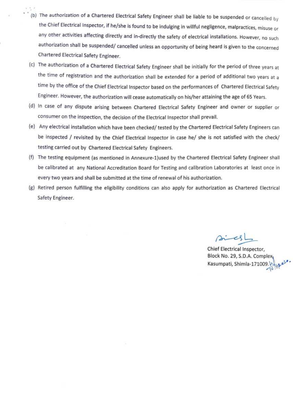- (b) The authorization of a Chartered Electrical Safety Engineer shall be liable to be suspended or cancelled by the Chief Electrical Inspector, if he/she is found to be indulging in willful negligence, malpractices, misuse or any other activities affecting directly and in-directly the safety of electrical installations. However, no such authorization shall be suspended/ cancelled unless an opportunity of being heard is given to the concerned Chartered Electrical Safety Engineer.
- (c) The authorization of a Chartered Electrical Safety Engineer shall be initially for the period of three years at the time of registration and the authorization shall be extended for a period of additional two years at a time by the office of the Chief Electrical Inspector based on the performances of Chartered Electrical Safety Engineer. However, the authorization will cease automatically on his/her attaining the age of 65 Years.
- (d) In case of any dispute arising between Chartered Electrical Safety Engineer and owner or supplier or consumer on the inspection, the decision of the Electrical Inspector shall prevail.
- (e) Any electrical installation which have been checked/ tested by the Chartered Electrical Safety Engineers can be inspected / revisited by the Chief Electrical Inspector in case he/ she is not satisfied with the check/ testing carried out by Chartered Electrical Safety Engineers.
- (f) The testing equipment (as mentioned in Annexure-1)used by the Chartered Electrical Safety Engineer shall be calibrated at any National Accreditation Board for Testing and calibration Laboratories at least once in every two years and shall be submitted at the time of renewal of his authorization.
- (s) Retired person fulfilling the eligibility conditions can also apply for authorization as Chartered Electrical Safety Engineer.

Chief Electrical Inspector, Block No. 29, S.D.A. Complex Kasumpati, Shimla-171009.  $\sqrt{\frac{1}{10}}$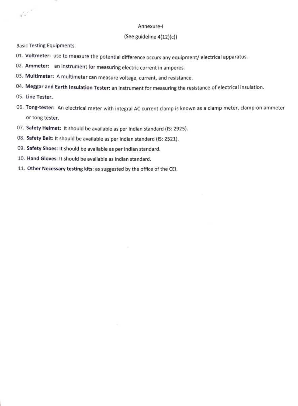#### Annexure-I

#### (See guideline 4(12)(c)

Basic Testing Equipments

- 01. Voltmeter: use to measure the potential difference occurs any equipment/ electrical apparatus.
- 02. Ammeter: an instrument for measuring electric current in amperes.
- 03. Multimeter: A multimeter can measure voltage, current, and resistance.
- 04. Meggar and Earth Insulation Tester: an instrument for measuring the resistance of electrical insulation.
- 05. Line Tester.

 $\mathcal{L}^{\mathcal{L}^{\mathcal{L}^{\mathcal{L}^{\mathcal{L}}}}}_{\bullet}$ 

- 06. Tong-tester: An electrical meter with integral AC current clamp is known as a clamp meter, clamp-on ammeter or tong tester.
- 07. Safety Helmet: It should be available as per Indian standard (IS: 2925).
- 08. Safety Belt: It should be available as per Indian standard (1S: 2521).
- 09. Safety Shoes: It should be available as per Indian standard.
- 10. Hand Gloves: It should be available as Indian standard.
- 11. Other Necessary testing kits: as suggested by the office of the CEl.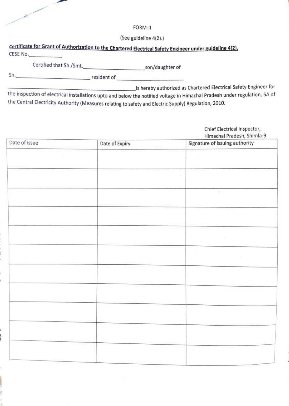

# FORM-II

(See guideline 4(2).)

# Certificate for Grant of Authorization to the Chartered Electrical Safety Engineer under guideline 4/21.

CESE No.

Certified that Sh./Smt. \_son/daughter of

Sh. resident of and the state of the state of the state of the state of the state of the state of the state of the state of the state of the state of the state of the state of the state of the state of the state of the sta

is hereby authorized as Chartered Electrical Safety Engineer for

the inspection of electrical installations upto and below the notified voltage in Himachal Pradesh under regulation, SA of the Central Electricity Authority (Measures relating to safety and Electric Supply) Regulation, 2010.

> Chief Electrical Inspector, Himachal Pradesh, Shimla-9

| Date of issue | Date of Expiry | Signature of issuing authority |
|---------------|----------------|--------------------------------|
|               |                |                                |
|               |                |                                |
|               |                | ×                              |
|               |                |                                |
|               |                | $\mathcal{L}$                  |
|               |                |                                |
|               |                |                                |
|               |                |                                |
|               |                | n.                             |
|               |                |                                |
|               |                |                                |
|               |                |                                |
|               |                |                                |
|               |                |                                |
|               |                |                                |
|               |                |                                |
|               |                |                                |
|               |                |                                |
|               |                |                                |
|               |                |                                |
|               |                |                                |

š